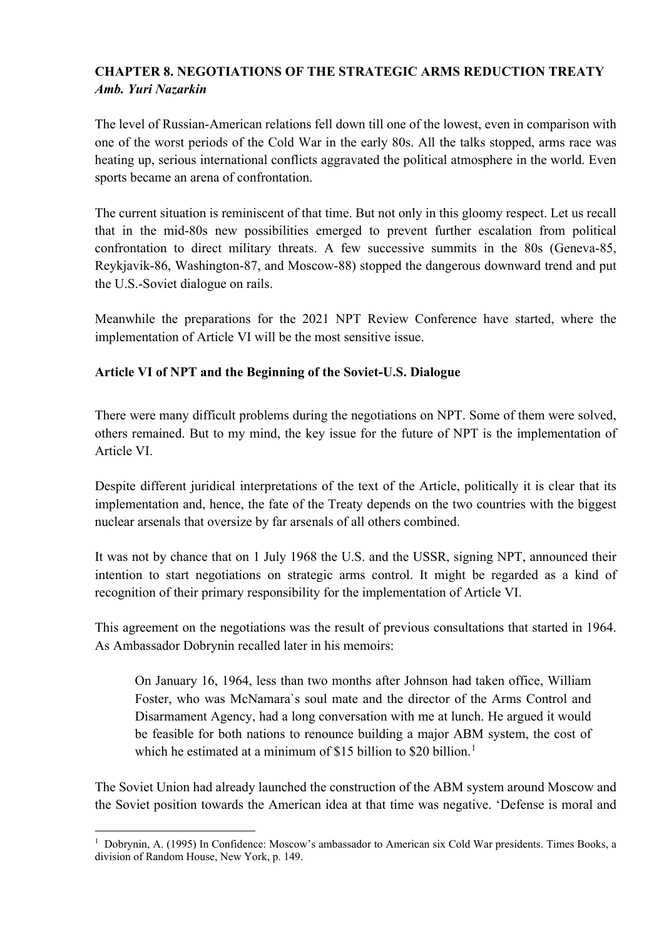# **CHAPTER 8. NEGOTIATIONS OF THE STRATEGIC ARMS REDUCTION TREATY** *Amb. Yuri Nazarkin*

The level of Russian-American relations fell down till one of the lowest, even in comparison with one of the worst periods of the Cold War in the early 80s. All the talks stopped, arms race was heating up, serious international conflicts aggravated the political atmosphere in the world. Even sports became an arena of confrontation.

The current situation is reminiscent of that time. But not only in this gloomy respect. Let us recall that in the mid-80s new possibilities emerged to prevent further escalation from political confrontation to direct military threats. A few successive summits in the 80s (Geneva-85, Reykjavik-86, Washington-87, and Moscow-88) stopped the dangerous downward trend and put the U.S.-Soviet dialogue on rails.

Meanwhile the preparations for the 2021 NPT Review Conference have started, where the implementation of Article VI will be the most sensitive issue.

## **Article VI of NPT and the Beginning of the Soviet-U.S. Dialogue**

There were many difficult problems during the negotiations on NPT. Some of them were solved, others remained. But to my mind, the key issue for the future of NPT is the implementation of Article VI.

Despite different juridical interpretations of the text of the Article, politically it is clear that its implementation and, hence, the fate of the Treaty depends on the two countries with the biggest nuclear arsenals that oversize by far arsenals of all others combined.

It was not by chance that on 1 July 1968 the U.S. and the USSR, signing NPT, announced their intention to start negotiations on strategic arms control. It might be regarded as a kind of recognition of their primary responsibility for the implementation of Article VI.

This agreement on the negotiations was the result of previous consultations that started in 1964. As Ambassador Dobrynin recalled later in his memoirs:

On January 16, 1964, less than two months after Johnson had taken office, William Foster, who was McNamara`s soul mate and the director of the Arms Control and Disarmament Agency, had a long conversation with me at lunch. He argued it would be feasible for both nations to renounce building a major ABM system, the cost of which he estimated at a minimum of \$[1](#page-0-0)5 billion to \$20 billion.<sup>1</sup>

The Soviet Union had already launched the construction of the ABM system around Moscow and the Soviet position towards the American idea at that time was negative. 'Defense is moral and

<span id="page-0-0"></span><sup>&</sup>lt;sup>1</sup> Dobrynin, A. (1995) In Confidence: Moscow's ambassador to American six Cold War presidents. Times Books, a division of Random House, New York, p. 149.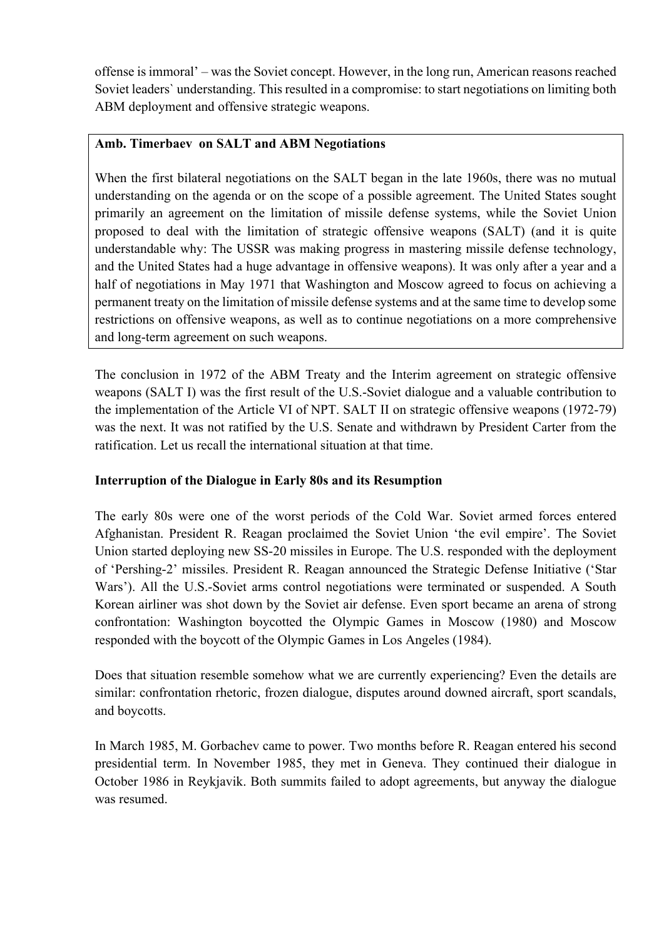offense is immoral' – was the Soviet concept. However, in the long run, American reasons reached Soviet leaders` understanding. This resulted in a compromise: to start negotiations on limiting both ABM deployment and offensive strategic weapons.

# **Amb. Timerbaev on SALT and ABM Negotiations**

When the first bilateral negotiations on the SALT began in the late 1960s, there was no mutual understanding on the agenda or on the scope of a possible agreement. The United States sought primarily an agreement on the limitation of missile defense systems, while the Soviet Union proposed to deal with the limitation of strategic offensive weapons (SALT) (and it is quite understandable why: The USSR was making progress in mastering missile defense technology, and the United States had a huge advantage in offensive weapons). It was only after a year and a half of negotiations in May 1971 that Washington and Moscow agreed to focus on achieving a permanent treaty on the limitation of missile defense systems and at the same time to develop some restrictions on offensive weapons, as well as to continue negotiations on a more comprehensive and long-term agreement on such weapons.

The conclusion in 1972 of the ABM Treaty and the Interim agreement on strategic offensive weapons (SALT I) was the first result of the U.S.-Soviet dialogue and a valuable contribution to the implementation of the Article VI of NPT. SALT II on strategic offensive weapons (1972-79) was the next. It was not ratified by the U.S. Senate and withdrawn by President Carter from the ratification. Let us recall the international situation at that time.

### **Interruption of the Dialogue in Early 80s and its Resumption**

The early 80s were one of the worst periods of the Cold War. Soviet armed forces entered Afghanistan. President R. Reagan proclaimed the Soviet Union 'the evil empire'. The Soviet Union started deploying new SS-20 missiles in Europe. The U.S. responded with the deployment of 'Pershing-2' missiles. President R. Reagan announced the Strategic Defense Initiative ('Star Wars'). All the U.S.-Soviet arms control negotiations were terminated or suspended. A South Korean airliner was shot down by the Soviet air defense. Even sport became an arena of strong confrontation: Washington boycotted the Olympic Games in Moscow (1980) and Moscow responded with the boycott of the Olympic Games in Los Angeles (1984).

Does that situation resemble somehow what we are currently experiencing? Even the details are similar: confrontation rhetoric, frozen dialogue, disputes around downed aircraft, sport scandals, and boycotts.

In March 1985, M. Gorbachev came to power. Two months before R. Reagan entered his second presidential term. In November 1985, they met in Geneva. They continued their dialogue in October 1986 in Reykjavik. Both summits failed to adopt agreements, but anyway the dialogue was resumed.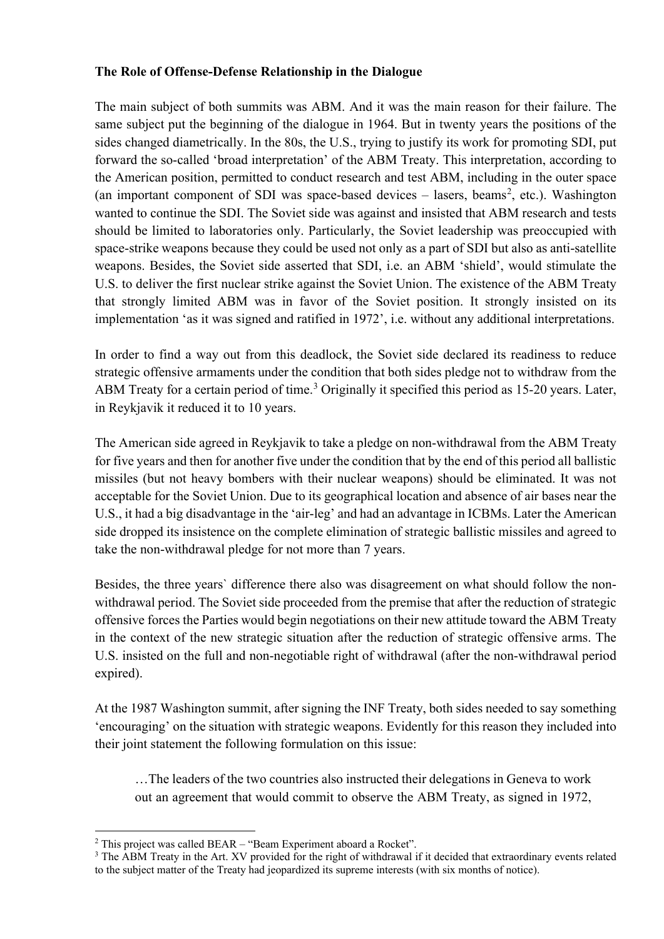#### **The Role of Offense-Defense Relationship in the Dialogue**

The main subject of both summits was ABM. And it was the main reason for their failure. The same subject put the beginning of the dialogue in 1964. But in twenty years the positions of the sides changed diametrically. In the 80s, the U.S., trying to justify its work for promoting SDI, put forward the so-called 'broad interpretation' of the ABM Treaty. This interpretation, according to the American position, permitted to conduct research and test ABM, including in the outer space (an important component of SDI was space-based devices  $-$  lasers, beams<sup>[2](#page-2-0)</sup>, etc.). Washington wanted to continue the SDI. The Soviet side was against and insisted that ABM research and tests should be limited to laboratories only. Particularly, the Soviet leadership was preoccupied with space-strike weapons because they could be used not only as a part of SDI but also as anti-satellite weapons. Besides, the Soviet side asserted that SDI, i.e. an ABM 'shield', would stimulate the U.S. to deliver the first nuclear strike against the Soviet Union. The existence of the ABM Treaty that strongly limited ABM was in favor of the Soviet position. It strongly insisted on its implementation 'as it was signed and ratified in 1972', i.e. without any additional interpretations.

In order to find a way out from this deadlock, the Soviet side declared its readiness to reduce strategic offensive armaments under the condition that both sides pledge not to withdraw from the ABM Treaty for a certain period of time.<sup>[3](#page-2-1)</sup> Originally it specified this period as 15-20 years. Later, in Reykjavik it reduced it to 10 years.

The American side agreed in Reykjavik to take a pledge on non-withdrawal from the ABM Treaty for five years and then for another five under the condition that by the end of this period all ballistic missiles (but not heavy bombers with their nuclear weapons) should be eliminated. It was not acceptable for the Soviet Union. Due to its geographical location and absence of air bases near the U.S., it had a big disadvantage in the 'air-leg' and had an advantage in ICBMs. Later the American side dropped its insistence on the complete elimination of strategic ballistic missiles and agreed to take the non-withdrawal pledge for not more than 7 years.

Besides, the three years` difference there also was disagreement on what should follow the nonwithdrawal period. The Soviet side proceeded from the premise that after the reduction of strategic offensive forces the Parties would begin negotiations on their new attitude toward the ABM Treaty in the context of the new strategic situation after the reduction of strategic offensive arms. The U.S. insisted on the full and non-negotiable right of withdrawal (after the non-withdrawal period expired).

At the 1987 Washington summit, after signing the INF Treaty, both sides needed to say something 'encouraging' on the situation with strategic weapons. Evidently for this reason they included into their joint statement the following formulation on this issue:

…The leaders of the two countries also instructed their delegations in Geneva to work out an agreement that would commit to observe the ABM Treaty, as signed in 1972,

<span id="page-2-0"></span> $2$  This project was called BEAR – "Beam Experiment aboard a Rocket".

<span id="page-2-1"></span><sup>&</sup>lt;sup>3</sup> The ABM Treaty in the Art. XV provided for the right of withdrawal if it decided that extraordinary events related to the subject matter of the Treaty had jeopardized its supreme interests (with six months of notice).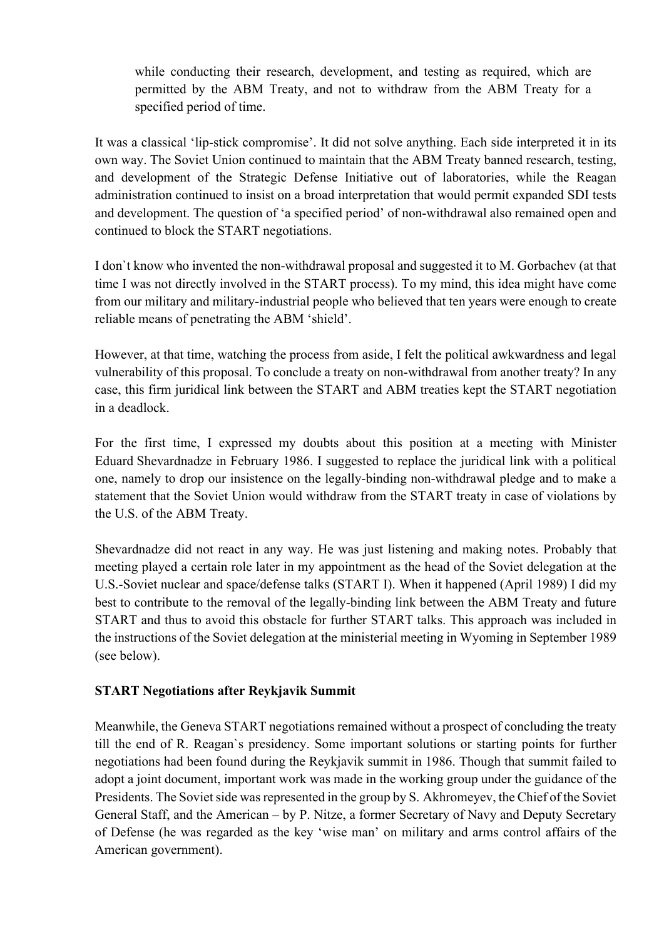while conducting their research, development, and testing as required, which are permitted by the ABM Treaty, and not to withdraw from the ABM Treaty for a specified period of time.

It was a classical 'lip-stick compromise'. It did not solve anything. Each side interpreted it in its own way. The Soviet Union continued to maintain that the ABM Treaty banned research, testing, and development of the Strategic Defense Initiative out of laboratories, while the Reagan administration continued to insist on a broad interpretation that would permit expanded SDI tests and development. The question of 'a specified period' of non-withdrawal also remained open and continued to block the START negotiations.

I don`t know who invented the non-withdrawal proposal and suggested it to M. Gorbachev (at that time I was not directly involved in the START process). To my mind, this idea might have come from our military and military-industrial people who believed that ten years were enough to create reliable means of penetrating the ABM 'shield'.

However, at that time, watching the process from aside, I felt the political awkwardness and legal vulnerability of this proposal. To conclude a treaty on non-withdrawal from another treaty? In any case, this firm juridical link between the START and ABM treaties kept the START negotiation in a deadlock.

For the first time, I expressed my doubts about this position at a meeting with Minister Eduard Shevardnadze in February 1986. I suggested to replace the juridical link with a political one, namely to drop our insistence on the legally-binding non-withdrawal pledge and to make a statement that the Soviet Union would withdraw from the START treaty in case of violations by the U.S. of the ABM Treaty.

Shevardnadze did not react in any way. He was just listening and making notes. Probably that meeting played a certain role later in my appointment as the head of the Soviet delegation at the U.S.-Soviet nuclear and space/defense talks (START I). When it happened (April 1989) I did my best to contribute to the removal of the legally-binding link between the ABM Treaty and future START and thus to avoid this obstacle for further START talks. This approach was included in the instructions of the Soviet delegation at the ministerial meeting in Wyoming in September 1989 (see below).

# **START Negotiations after Reykjavik Summit**

Meanwhile, the Geneva START negotiations remained without a prospect of concluding the treaty till the end of R. Reagan`s presidency. Some important solutions or starting points for further negotiations had been found during the Reykjavik summit in 1986. Though that summit failed to adopt a joint document, important work was made in the working group under the guidance of the Presidents. The Soviet side was represented in the group by S. Akhromeyev, the Chief of the Soviet General Staff, and the American – by P. Nitze, a former Secretary of Navy and Deputy Secretary of Defense (he was regarded as the key 'wise man' on military and arms control affairs of the American government).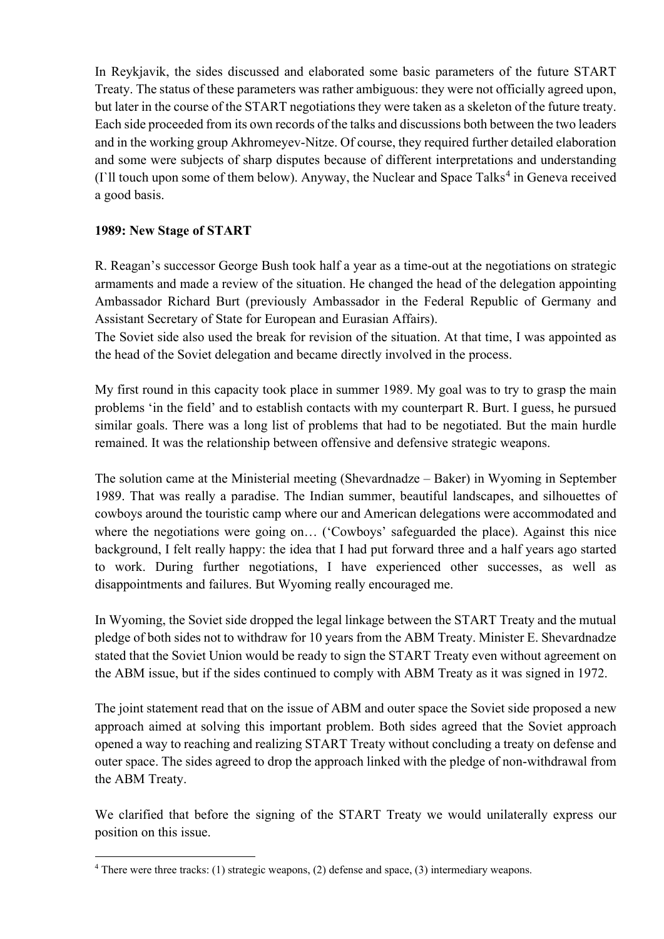In Reykjavik, the sides discussed and elaborated some basic parameters of the future START Treaty. The status of these parameters was rather ambiguous: they were not officially agreed upon, but later in the course of the START negotiations they were taken as a skeleton of the future treaty. Each side proceeded from its own records of the talks and discussions both between the two leaders and in the working group Akhromeyev-Nitze. Of course, they required further detailed elaboration and some were subjects of sharp disputes because of different interpretations and understanding (I'll touch upon some of them below). Anyway, the Nuclear and Space Talks<sup>[4](#page-4-0)</sup> in Geneva received a good basis.

## **1989: New Stage of START**

R. Reagan's successor George Bush took half a year as a time-out at the negotiations on strategic armaments and made a review of the situation. He changed the head of the delegation appointing Ambassador Richard Burt (previously Ambassador in the Federal Republic of Germany and Assistant Secretary of State for European and Eurasian Affairs).

The Soviet side also used the break for revision of the situation. At that time, I was appointed as the head of the Soviet delegation and became directly involved in the process.

My first round in this capacity took place in summer 1989. My goal was to try to grasp the main problems 'in the field' and to establish contacts with my counterpart R. Burt. I guess, he pursued similar goals. There was a long list of problems that had to be negotiated. But the main hurdle remained. It was the relationship between offensive and defensive strategic weapons.

The solution came at the Ministerial meeting (Shevardnadze – Baker) in Wyoming in September 1989. That was really a paradise. The Indian summer, beautiful landscapes, and silhouettes of cowboys around the touristic camp where our and American delegations were accommodated and where the negotiations were going on… ('Cowboys' safeguarded the place). Against this nice background, I felt really happy: the idea that I had put forward three and a half years ago started to work. During further negotiations, I have experienced other successes, as well as disappointments and failures. But Wyoming really encouraged me.

In Wyoming, the Soviet side dropped the legal linkage between the START Treaty and the mutual pledge of both sides not to withdraw for 10 years from the ABM Treaty. Minister E. Shevardnadze stated that the Soviet Union would be ready to sign the START Treaty even without agreement on the ABM issue, but if the sides continued to comply with ABM Treaty as it was signed in 1972.

The joint statement read that on the issue of ABM and outer space the Soviet side proposed a new approach aimed at solving this important problem. Both sides agreed that the Soviet approach opened a way to reaching and realizing START Treaty without concluding a treaty on defense and outer space. The sides agreed to drop the approach linked with the pledge of non-withdrawal from the ABM Treaty.

We clarified that before the signing of the START Treaty we would unilaterally express our position on this issue.

<span id="page-4-0"></span><sup>4</sup> There were three tracks: (1) strategic weapons, (2) defense and space, (3) intermediary weapons.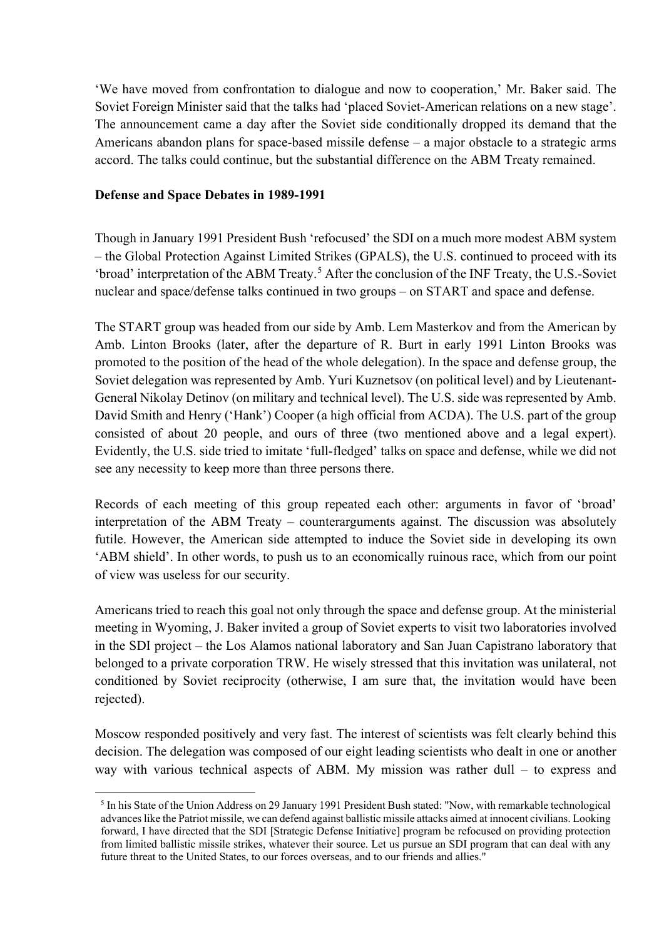'We have moved from confrontation to dialogue and now to cooperation,' Mr. Baker said. The Soviet Foreign Minister said that the talks had 'placed Soviet-American relations on a new stage'. The announcement came a day after the Soviet side conditionally dropped its demand that the Americans abandon plans for space-based missile defense – a major obstacle to a strategic arms accord. The talks could continue, but the substantial difference on the ABM Treaty remained.

### **Defense and Space Debates in 1989-1991**

Though in January 1991 President Bush 'refocused' the SDI on a much more modest ABM system – the Global Protection Against Limited Strikes (GPALS), the U.S. continued to proceed with its 'broad' interpretation of the ABM Treaty. [5](#page-5-0) After the conclusion of the INF Treaty, the U.S.-Soviet nuclear and space/defense talks continued in two groups – on START and space and defense.

The START group was headed from our side by Amb. Lem Masterkov and from the American by Amb. Linton Brooks (later, after the departure of R. Burt in early 1991 Linton Brooks was promoted to the position of the head of the whole delegation). In the space and defense group, the Soviet delegation was represented by Amb. Yuri Kuznetsov (on political level) and by Lieutenant-General Nikolay Detinov (on military and technical level). The U.S. side was represented by Amb. David Smith and Henry ('Hank') Cooper (a high official from ACDA). The U.S. part of the group consisted of about 20 people, and ours of three (two mentioned above and a legal expert). Evidently, the U.S. side tried to imitate 'full-fledged' talks on space and defense, while we did not see any necessity to keep more than three persons there.

Records of each meeting of this group repeated each other: arguments in favor of 'broad' interpretation of the ABM Treaty – counterarguments against. The discussion was absolutely futile. However, the American side attempted to induce the Soviet side in developing its own 'ABM shield'. In other words, to push us to an economically ruinous race, which from our point of view was useless for our security.

Americans tried to reach this goal not only through the space and defense group. At the ministerial meeting in Wyoming, J. Baker invited a group of Soviet experts to visit two laboratories involved in the SDI project – the Los Alamos national laboratory and San Juan Capistrano laboratory that belonged to a private corporation TRW. He wisely stressed that this invitation was unilateral, not conditioned by Soviet reciprocity (otherwise, I am sure that, the invitation would have been rejected).

Moscow responded positively and very fast. The interest of scientists was felt clearly behind this decision. The delegation was composed of our eight leading scientists who dealt in one or another way with various technical aspects of ABM. My mission was rather dull – to express and

<span id="page-5-0"></span><sup>5</sup> In his State of the Union Address on 29 January 1991 President Bush stated: "Now, with remarkable technological advances like the Patriot missile, we can defend against ballistic missile attacks aimed at innocent civilians. Looking forward, I have directed that the SDI [Strategic Defense Initiative] program be refocused on providing protection from limited ballistic missile strikes, whatever their source. Let us pursue an SDI program that can deal with any future threat to the United States, to our forces overseas, and to our friends and allies."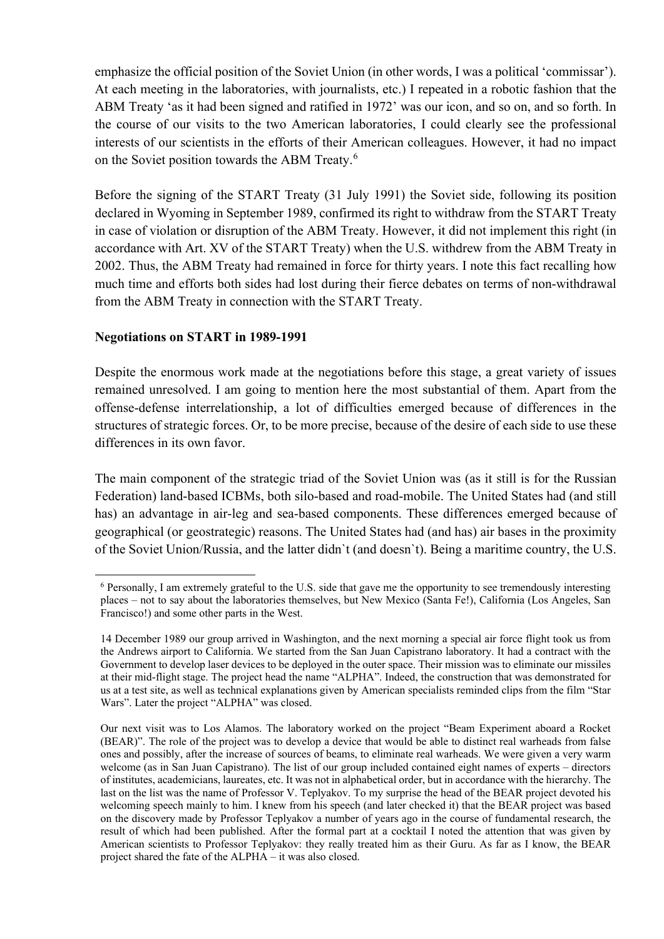emphasize the official position of the Soviet Union (in other words, I was a political 'commissar'). At each meeting in the laboratories, with journalists, etc.) I repeated in a robotic fashion that the ABM Treaty 'as it had been signed and ratified in 1972' was our icon, and so on, and so forth. In the course of our visits to the two American laboratories, I could clearly see the professional interests of our scientists in the efforts of their American colleagues. However, it had no impact on the Soviet position towards the ABM Treaty.<sup>[6](#page-6-0)</sup>

Before the signing of the START Treaty (31 July 1991) the Soviet side, following its position declared in Wyoming in September 1989, confirmed its right to withdraw from the START Treaty in case of violation or disruption of the ABM Treaty. However, it did not implement this right (in accordance with Art. XV of the START Treaty) when the U.S. withdrew from the ABM Treaty in 2002. Thus, the ABM Treaty had remained in force for thirty years. I note this fact recalling how much time and efforts both sides had lost during their fierce debates on terms of non-withdrawal from the ABM Treaty in connection with the START Treaty.

#### **Negotiations on START in 1989-1991**

Despite the enormous work made at the negotiations before this stage, a great variety of issues remained unresolved. I am going to mention here the most substantial of them. Apart from the offense-defense interrelationship, a lot of difficulties emerged because of differences in the structures of strategic forces. Or, to be more precise, because of the desire of each side to use these differences in its own favor.

The main component of the strategic triad of the Soviet Union was (as it still is for the Russian Federation) land-based ICBMs, both silo-based and road-mobile. The United States had (and still has) an advantage in air-leg and sea-based components. These differences emerged because of geographical (or geostrategic) reasons. The United States had (and has) air bases in the proximity of the Soviet Union/Russia, and the latter didn`t (and doesn`t). Being a maritime country, the U.S.

<span id="page-6-0"></span><sup>6</sup> Personally, I am extremely grateful to the U.S. side that gave me the opportunity to see tremendously interesting places – not to say about the laboratories themselves, but New Mexico (Santa Fe!), California (Los Angeles, San Francisco!) and some other parts in the West.

<sup>14</sup> December 1989 our group arrived in Washington, and the next morning a special air force flight took us from the Andrews airport to California. We started from the San Juan Capistrano laboratory. It had a contract with the Government to develop laser devices to be deployed in the outer space. Their mission was to eliminate our missiles at their mid-flight stage. The project head the name "ALPHA". Indeed, the construction that was demonstrated for us at a test site, as well as technical explanations given by American specialists reminded clips from the film "Star Wars". Later the project "ALPHA" was closed.

Our next visit was to Los Alamos. The laboratory worked on the project "Beam Experiment aboard a Rocket (BEAR)". The role of the project was to develop a device that would be able to distinct real warheads from false ones and possibly, after the increase of sources of beams, to eliminate real warheads. We were given a very warm welcome (as in San Juan Capistrano). The list of our group included contained eight names of experts – directors of institutes, academicians, laureates, etc. It was not in alphabetical order, but in accordance with the hierarchy. The last on the list was the name of Professor V. Teplyakov. To my surprise the head of the BEAR project devoted his welcoming speech mainly to him. I knew from his speech (and later checked it) that the BEAR project was based on the discovery made by Professor Teplyakov a number of years ago in the course of fundamental research, the result of which had been published. After the formal part at a cocktail I noted the attention that was given by American scientists to Professor Teplyakov: they really treated him as their Guru. As far as I know, the BEAR project shared the fate of the ALPHA – it was also closed.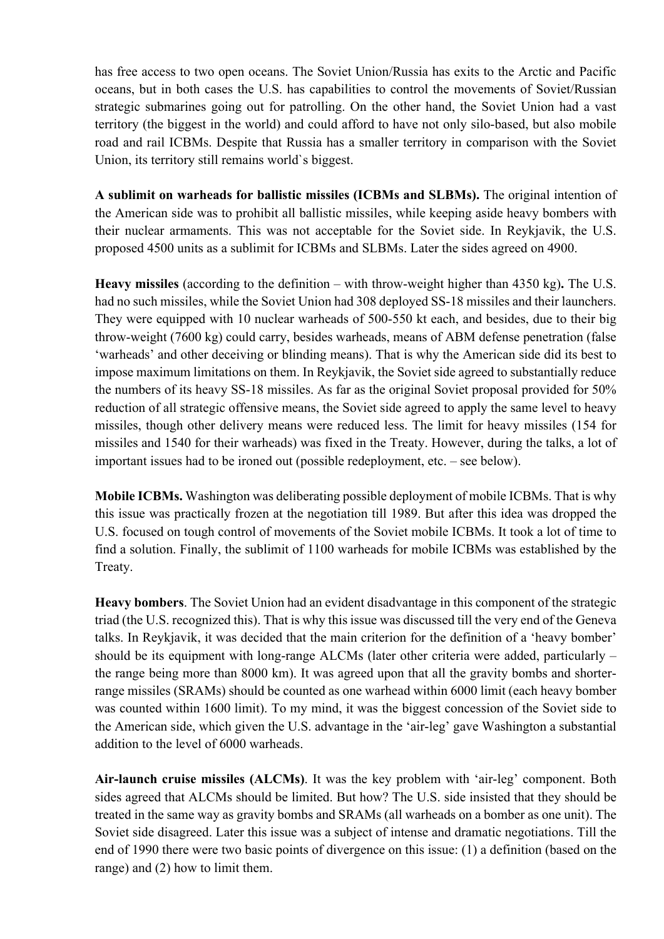has free access to two open oceans. The Soviet Union/Russia has exits to the Arctic and Pacific oceans, but in both cases the U.S. has capabilities to control the movements of Soviet/Russian strategic submarines going out for patrolling. On the other hand, the Soviet Union had a vast territory (the biggest in the world) and could afford to have not only silo-based, but also mobile road and rail ICBMs. Despite that Russia has a smaller territory in comparison with the Soviet Union, its territory still remains world`s biggest.

**A sublimit on warheads for ballistic missiles (ICBMs and SLBMs).** The original intention of the American side was to prohibit all ballistic missiles, while keeping aside heavy bombers with their nuclear armaments. This was not acceptable for the Soviet side. In Reykjavik, the U.S. proposed 4500 units as a sublimit for ICBMs and SLBMs. Later the sides agreed on 4900.

**Heavy missiles** (according to the definition – with throw-weight higher than 4350 kg)**.** The U.S. had no such missiles, while the Soviet Union had 308 deployed SS-18 missiles and their launchers. They were equipped with 10 nuclear warheads of 500-550 kt each, and besides, due to their big throw-weight (7600 kg) could carry, besides warheads, means of ABM defense penetration (false 'warheads' and other deceiving or blinding means). That is why the American side did its best to impose maximum limitations on them. In Reykjavik, the Soviet side agreed to substantially reduce the numbers of its heavy SS-18 missiles. As far as the original Soviet proposal provided for 50% reduction of all strategic offensive means, the Soviet side agreed to apply the same level to heavy missiles, though other delivery means were reduced less. The limit for heavy missiles (154 for missiles and 1540 for their warheads) was fixed in the Treaty. However, during the talks, a lot of important issues had to be ironed out (possible redeployment, etc. – see below).

**Mobile ICBMs.** Washington was deliberating possible deployment of mobile ICBMs. That is why this issue was practically frozen at the negotiation till 1989. But after this idea was dropped the U.S. focused on tough control of movements of the Soviet mobile ICBMs. It took a lot of time to find a solution. Finally, the sublimit of 1100 warheads for mobile ICBMs was established by the Treaty.

**Heavy bombers**. The Soviet Union had an evident disadvantage in this component of the strategic triad (the U.S. recognized this). That is why this issue was discussed till the very end of the Geneva talks. In Reykjavik, it was decided that the main criterion for the definition of a 'heavy bomber' should be its equipment with long-range ALCMs (later other criteria were added, particularly – the range being more than 8000 km). It was agreed upon that all the gravity bombs and shorterrange missiles (SRAMs) should be counted as one warhead within 6000 limit (each heavy bomber was counted within 1600 limit). To my mind, it was the biggest concession of the Soviet side to the American side, which given the U.S. advantage in the 'air-leg' gave Washington a substantial addition to the level of 6000 warheads.

**Air-launch cruise missiles (ALCMs)**. It was the key problem with 'air-leg' component. Both sides agreed that ALCMs should be limited. But how? The U.S. side insisted that they should be treated in the same way as gravity bombs and SRAMs (all warheads on a bomber as one unit). The Soviet side disagreed. Later this issue was a subject of intense and dramatic negotiations. Till the end of 1990 there were two basic points of divergence on this issue: (1) a definition (based on the range) and (2) how to limit them.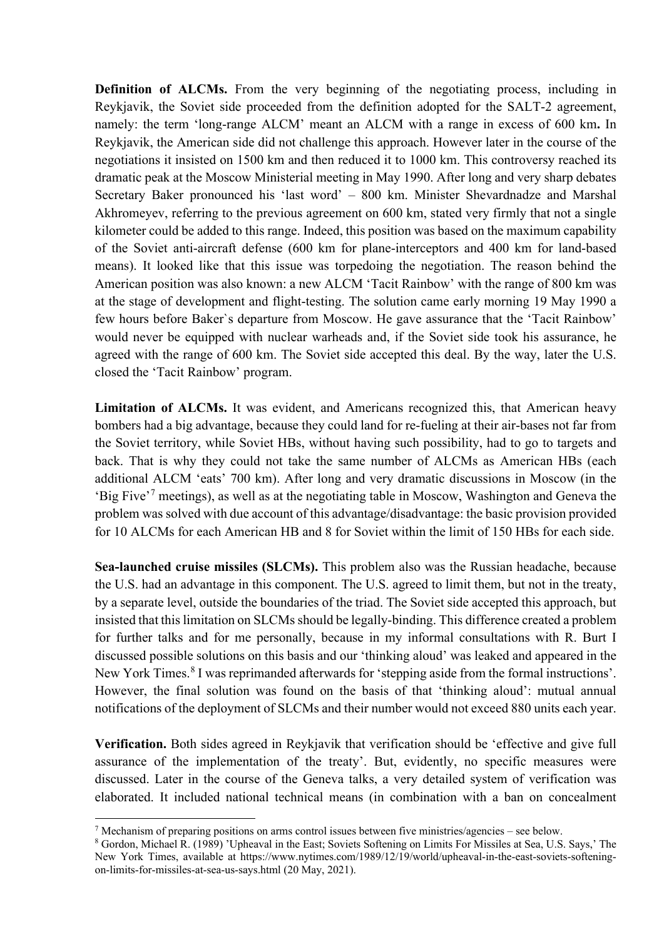**Definition of ALCMs.** From the very beginning of the negotiating process, including in Reykjavik, the Soviet side proceeded from the definition adopted for the SALT-2 agreement, namely: the term 'long-range ALCM' meant an ALCM with a range in excess of 600 km**.** In Reykjavik, the American side did not challenge this approach. However later in the course of the negotiations it insisted on 1500 km and then reduced it to 1000 km. This controversy reached its dramatic peak at the Moscow Ministerial meeting in May 1990. After long and very sharp debates Secretary Baker pronounced his 'last word' – 800 km. Minister Shevardnadze and Marshal Akhromeyev, referring to the previous agreement on 600 km, stated very firmly that not a single kilometer could be added to this range. Indeed, this position was based on the maximum capability of the Soviet anti-aircraft defense (600 km for plane-interceptors and 400 km for land-based means). It looked like that this issue was torpedoing the negotiation. The reason behind the American position was also known: a new ALCM 'Tacit Rainbow' with the range of 800 km was at the stage of development and flight-testing. The solution came early morning 19 May 1990 a few hours before Baker`s departure from Moscow. He gave assurance that the 'Tacit Rainbow' would never be equipped with nuclear warheads and, if the Soviet side took his assurance, he agreed with the range of 600 km. The Soviet side accepted this deal. By the way, later the U.S. closed the 'Tacit Rainbow' program.

**Limitation of ALCMs.** It was evident, and Americans recognized this, that American heavy bombers had a big advantage, because they could land for re-fueling at their air-bases not far from the Soviet territory, while Soviet HBs, without having such possibility, had to go to targets and back. That is why they could not take the same number of ALCMs as American HBs (each additional ALCM 'eats' 700 km). After long and very dramatic discussions in Moscow (in the 'Big Five'<sup>[7](#page-8-0)</sup> meetings), as well as at the negotiating table in Moscow, Washington and Geneva the problem was solved with due account of this advantage/disadvantage: the basic provision provided for 10 ALCMs for each American HB and 8 for Soviet within the limit of 150 HBs for each side.

**Sea-launched cruise missiles (SLCMs).** This problem also was the Russian headache, because the U.S. had an advantage in this component. The U.S. agreed to limit them, but not in the treaty, by a separate level, outside the boundaries of the triad. The Soviet side accepted this approach, but insisted that this limitation on SLCMs should be legally-binding. This difference created a problem for further talks and for me personally, because in my informal consultations with R. Burt I discussed possible solutions on this basis and our 'thinking aloud' was leaked and appeared in the New York Times.<sup>[8](#page-8-1)</sup> I was reprimanded afterwards for 'stepping aside from the formal instructions'. However, the final solution was found on the basis of that 'thinking aloud': mutual annual notifications of the deployment of SLCMs and their number would not exceed 880 units each year.

**Verification.** Both sides agreed in Reykjavik that verification should be 'effective and give full assurance of the implementation of the treaty'. But, evidently, no specific measures were discussed. Later in the course of the Geneva talks, a very detailed system of verification was elaborated. It included national technical means (in combination with a ban on concealment

<span id="page-8-0"></span><sup>&</sup>lt;sup>7</sup> Mechanism of preparing positions on arms control issues between five ministries/agencies – see below.

<span id="page-8-1"></span><sup>&</sup>lt;sup>8</sup> Gordon, Michael R. (1989) 'Upheaval in the East; Soviets Softening on Limits For Missiles at Sea, U.S. Says,' The New York Times, available at https://www.nytimes.com/1989/12/19/world/upheaval-in-the-east-soviets-softeningon-limits-for-missiles-at-sea-us-says.html (20 May, 2021).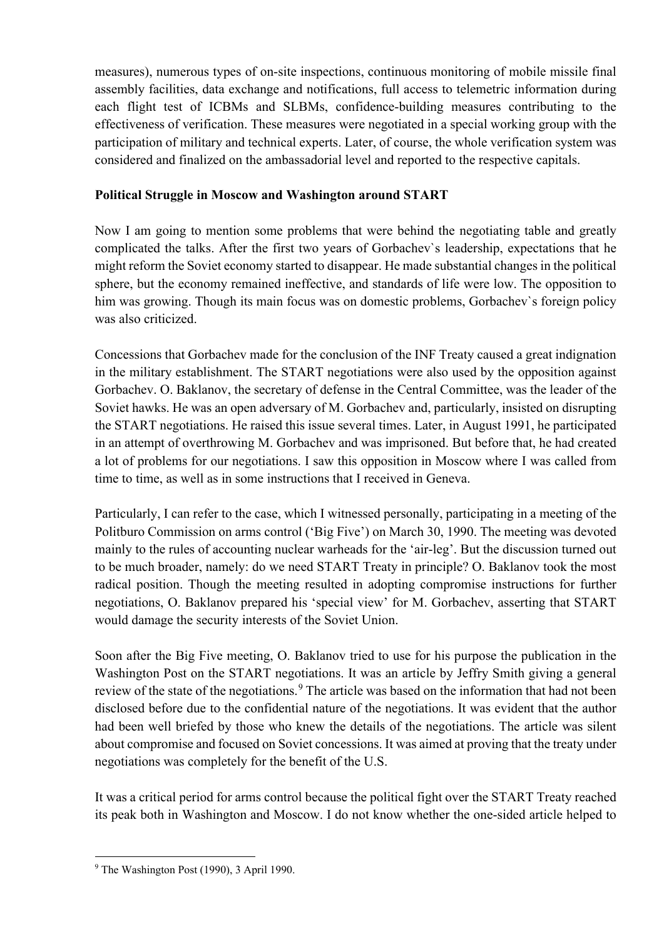measures), numerous types of on-site inspections, continuous monitoring of mobile missile final assembly facilities, data exchange and notifications, full access to telemetric information during each flight test of ICBMs and SLBMs, confidence-building measures contributing to the effectiveness of verification. These measures were negotiated in a special working group with the participation of military and technical experts. Later, of course, the whole verification system was considered and finalized on the ambassadorial level and reported to the respective capitals.

# **Political Struggle in Moscow and Washington around START**

Now I am going to mention some problems that were behind the negotiating table and greatly complicated the talks. After the first two years of Gorbachev`s leadership, expectations that he might reform the Soviet economy started to disappear. He made substantial changes in the political sphere, but the economy remained ineffective, and standards of life were low. The opposition to him was growing. Though its main focus was on domestic problems, Gorbachev`s foreign policy was also criticized.

Concessions that Gorbachev made for the conclusion of the INF Treaty caused a great indignation in the military establishment. The START negotiations were also used by the opposition against Gorbachev. O. Baklanov, the secretary of defense in the Central Committee, was the leader of the Soviet hawks. He was an open adversary of M. Gorbachev and, particularly, insisted on disrupting the START negotiations. He raised this issue several times. Later, in August 1991, he participated in an attempt of overthrowing M. Gorbachev and was imprisoned. But before that, he had created a lot of problems for our negotiations. I saw this opposition in Moscow where I was called from time to time, as well as in some instructions that I received in Geneva.

Particularly, I can refer to the case, which I witnessed personally, participating in a meeting of the Politburo Commission on arms control ('Big Five') on March 30, 1990. The meeting was devoted mainly to the rules of accounting nuclear warheads for the 'air-leg'. But the discussion turned out to be much broader, namely: do we need START Treaty in principle? O. Baklanov took the most radical position. Though the meeting resulted in adopting compromise instructions for further negotiations, O. Baklanov prepared his 'special view' for M. Gorbachev, asserting that START would damage the security interests of the Soviet Union.

Soon after the Big Five meeting, O. Baklanov tried to use for his purpose the publication in the Washington Post on the START negotiations. It was an article by Jeffry Smith giving a general review of the state of the negotiations.<sup>[9](#page-9-0)</sup> The article was based on the information that had not been disclosed before due to the confidential nature of the negotiations. It was evident that the author had been well briefed by those who knew the details of the negotiations. The article was silent about compromise and focused on Soviet concessions. It was aimed at proving that the treaty under negotiations was completely for the benefit of the U.S.

It was a critical period for arms control because the political fight over the START Treaty reached its peak both in Washington and Moscow. I do not know whether the one-sided article helped to

<span id="page-9-0"></span><sup>9</sup> The Washington Post (1990), 3 April 1990.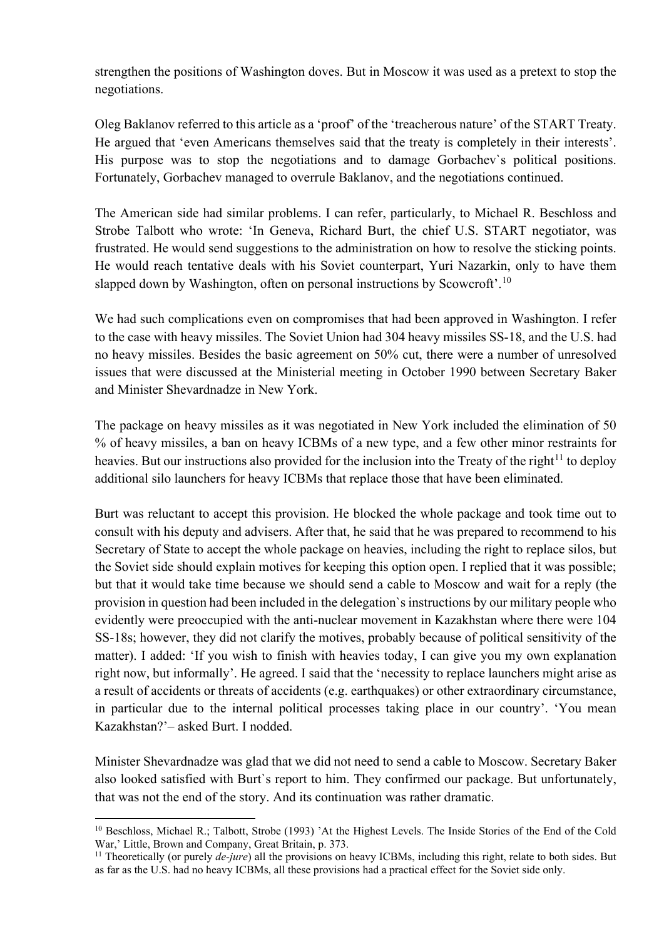strengthen the positions of Washington doves. But in Moscow it was used as a pretext to stop the negotiations.

Oleg Baklanov referred to this article as a 'proof' of the 'treacherous nature' of the START Treaty. He argued that 'even Americans themselves said that the treaty is completely in their interests'. His purpose was to stop the negotiations and to damage Gorbachev`s political positions. Fortunately, Gorbachev managed to overrule Baklanov, and the negotiations continued.

The American side had similar problems. I can refer, particularly, to Michael R. Beschloss and Strobe Talbott who wrote: 'In Geneva, Richard Burt, the chief U.S. START negotiator, was frustrated. He would send suggestions to the administration on how to resolve the sticking points. He would reach tentative deals with his Soviet counterpart, Yuri Nazarkin, only to have them slapped down by Washington, often on personal instructions by Scowcroft'.<sup>[10](#page-10-0)</sup>

We had such complications even on compromises that had been approved in Washington. I refer to the case with heavy missiles. The Soviet Union had 304 heavy missiles SS-18, and the U.S. had no heavy missiles. Besides the basic agreement on 50% cut, there were a number of unresolved issues that were discussed at the Ministerial meeting in October 1990 between Secretary Baker and Minister Shevardnadze in New York.

The package on heavy missiles as it was negotiated in New York included the elimination of 50 % of heavy missiles, a ban on heavy ICBMs of a new type, and a few other minor restraints for heavies. But our instructions also provided for the inclusion into the Treaty of the right<sup>[11](#page-10-1)</sup> to deploy additional silo launchers for heavy ICBMs that replace those that have been eliminated.

Burt was reluctant to accept this provision. He blocked the whole package and took time out to consult with his deputy and advisers. After that, he said that he was prepared to recommend to his Secretary of State to accept the whole package on heavies, including the right to replace silos, but the Soviet side should explain motives for keeping this option open. I replied that it was possible; but that it would take time because we should send a cable to Moscow and wait for a reply (the provision in question had been included in the delegation`s instructions by our military people who evidently were preoccupied with the anti-nuclear movement in Kazakhstan where there were 104 SS-18s; however, they did not clarify the motives, probably because of political sensitivity of the matter). I added: 'If you wish to finish with heavies today, I can give you my own explanation right now, but informally'. He agreed. I said that the 'necessity to replace launchers might arise as a result of accidents or threats of accidents (e.g. earthquakes) or other extraordinary circumstance, in particular due to the internal political processes taking place in our country'. 'You mean Kazakhstan?'– asked Burt. I nodded.

Minister Shevardnadze was glad that we did not need to send a cable to Moscow. Secretary Baker also looked satisfied with Burt`s report to him. They confirmed our package. But unfortunately, that was not the end of the story. And its continuation was rather dramatic.

<span id="page-10-0"></span><sup>10</sup> Beschloss, Michael R.; Talbott, Strobe (1993) 'At the Highest Levels. The Inside Stories of the End of the Cold War,' Little, Brown and Company, Great Britain, p. 373.

<span id="page-10-1"></span><sup>&</sup>lt;sup>11</sup> Theoretically (or purely *de-jure*) all the provisions on heavy ICBMs, including this right, relate to both sides. But as far as the U.S. had no heavy ICBMs, all these provisions had a practical effect for the Soviet side only.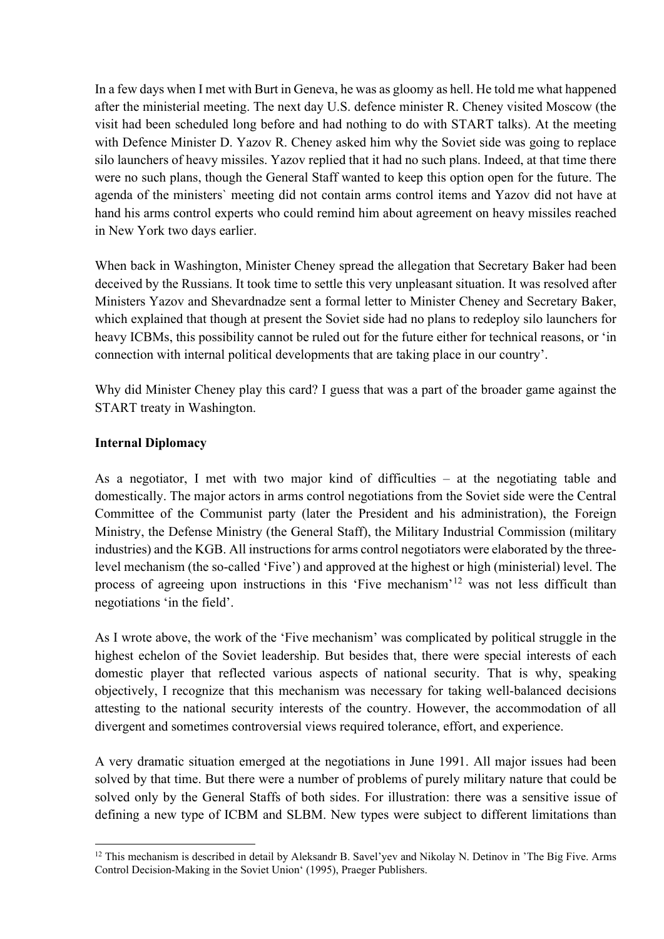In a few days when I met with Burt in Geneva, he was as gloomy as hell. He told me what happened after the ministerial meeting. The next day U.S. defence minister R. Cheney visited Moscow (the visit had been scheduled long before and had nothing to do with START talks). At the meeting with Defence Minister D. Yazov R. Cheney asked him why the Soviet side was going to replace silo launchers of heavy missiles. Yazov replied that it had no such plans. Indeed, at that time there were no such plans, though the General Staff wanted to keep this option open for the future. The agenda of the ministers` meeting did not contain arms control items and Yazov did not have at hand his arms control experts who could remind him about agreement on heavy missiles reached in New York two days earlier.

When back in Washington, Minister Cheney spread the allegation that Secretary Baker had been deceived by the Russians. It took time to settle this very unpleasant situation. It was resolved after Ministers Yazov and Shevardnadze sent a formal letter to Minister Cheney and Secretary Baker, which explained that though at present the Soviet side had no plans to redeploy silo launchers for heavy ICBMs, this possibility cannot be ruled out for the future either for technical reasons, or 'in connection with internal political developments that are taking place in our country'.

Why did Minister Cheney play this card? I guess that was a part of the broader game against the START treaty in Washington.

### **Internal Diplomacy**

As a negotiator, I met with two major kind of difficulties – at the negotiating table and domestically. The major actors in arms control negotiations from the Soviet side were the Central Committee of the Communist party (later the President and his administration), the Foreign Ministry, the Defense Ministry (the General Staff), the Military Industrial Commission (military industries) and the KGB. All instructions for arms control negotiators were elaborated by the threelevel mechanism (the so-called 'Five') and approved at the highest or high (ministerial) level. The process of agreeing upon instructions in this 'Five mechanism'[12](#page-11-0) was not less difficult than negotiations 'in the field'.

As I wrote above, the work of the 'Five mechanism' was complicated by political struggle in the highest echelon of the Soviet leadership. But besides that, there were special interests of each domestic player that reflected various aspects of national security. That is why, speaking objectively, I recognize that this mechanism was necessary for taking well-balanced decisions attesting to the national security interests of the country. However, the accommodation of all divergent and sometimes controversial views required tolerance, effort, and experience.

A very dramatic situation emerged at the negotiations in June 1991. All major issues had been solved by that time. But there were a number of problems of purely military nature that could be solved only by the General Staffs of both sides. For illustration: there was a sensitive issue of defining a new type of ICBM and SLBM. New types were subject to different limitations than

<span id="page-11-0"></span><sup>&</sup>lt;sup>12</sup> This mechanism is described in detail by Aleksandr B. Savel'yev and Nikolay N. Detinov in 'The Big Five. Arms Control Decision-Making in the Soviet Union' (1995), Praeger Publishers.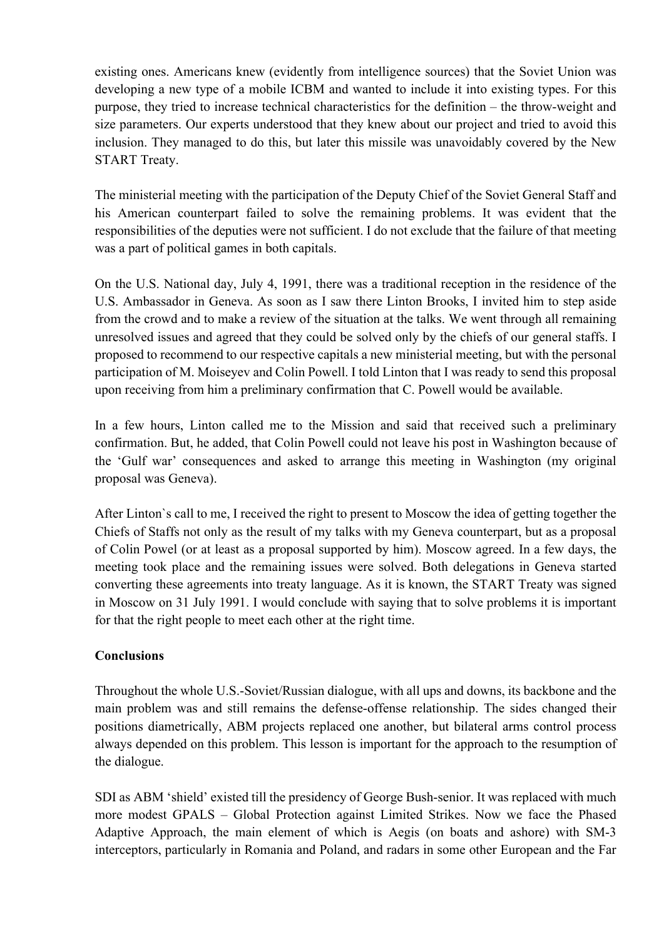existing ones. Americans knew (evidently from intelligence sources) that the Soviet Union was developing a new type of a mobile ICBM and wanted to include it into existing types. For this purpose, they tried to increase technical characteristics for the definition – the throw-weight and size parameters. Our experts understood that they knew about our project and tried to avoid this inclusion. They managed to do this, but later this missile was unavoidably covered by the New START Treaty.

The ministerial meeting with the participation of the Deputy Chief of the Soviet General Staff and his American counterpart failed to solve the remaining problems. It was evident that the responsibilities of the deputies were not sufficient. I do not exclude that the failure of that meeting was a part of political games in both capitals.

On the U.S. National day, July 4, 1991, there was a traditional reception in the residence of the U.S. Ambassador in Geneva. As soon as I saw there Linton Brooks, I invited him to step aside from the crowd and to make a review of the situation at the talks. We went through all remaining unresolved issues and agreed that they could be solved only by the chiefs of our general staffs. I proposed to recommend to our respective capitals a new ministerial meeting, but with the personal participation of M. Moiseyev and Colin Powell. I told Linton that I was ready to send this proposal upon receiving from him a preliminary confirmation that C. Powell would be available.

In a few hours, Linton called me to the Mission and said that received such a preliminary confirmation. But, he added, that Colin Powell could not leave his post in Washington because of the 'Gulf war' consequences and asked to arrange this meeting in Washington (my original proposal was Geneva).

After Linton`s call to me, I received the right to present to Moscow the idea of getting together the Chiefs of Staffs not only as the result of my talks with my Geneva counterpart, but as a proposal of Colin Powel (or at least as a proposal supported by him). Moscow agreed. In a few days, the meeting took place and the remaining issues were solved. Both delegations in Geneva started converting these agreements into treaty language. As it is known, the START Treaty was signed in Moscow on 31 July 1991. I would conclude with saying that to solve problems it is important for that the right people to meet each other at the right time.

### **Conclusions**

Throughout the whole U.S.-Soviet/Russian dialogue, with all ups and downs, its backbone and the main problem was and still remains the defense-offense relationship. The sides changed their positions diametrically, ABM projects replaced one another, but bilateral arms control process always depended on this problem. This lesson is important for the approach to the resumption of the dialogue.

SDI as ABM 'shield' existed till the presidency of George Bush-senior. It was replaced with much more modest GPALS – Global Protection against Limited Strikes. Now we face the Phased Adaptive Approach, the main element of which is Aegis (on boats and ashore) with SM-3 interceptors, particularly in Romania and Poland, and radars in some other European and the Far